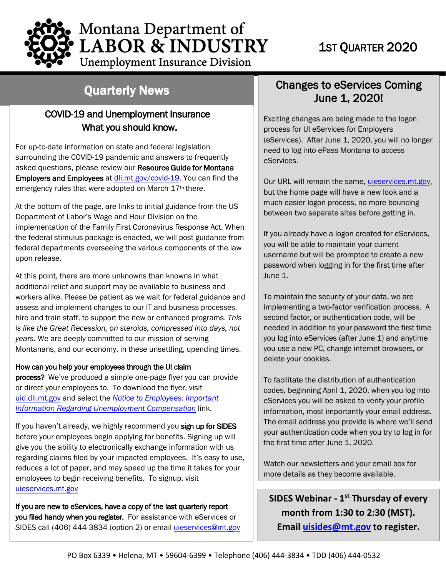

**Unemployment Insurance Division** 

# Quarterly News

#### COVID-19 and Unemployment Insurance What you should know.

For up-to-date information on state and federal legislation surrounding the COVID-19 pandemic and answers to frequently asked questions, please review our Resource Guide for Montana Employers and Employees at [dli.mt.gov/](https://dli.mt.gov/covid-19/)covid-19. You can find the emergency rules that were adopted on March 17<sup>th</sup> there.

At the bottom of the page, are links to initial guidance from the US Department of Labor's Wage and Hour Division on the implementation of the Family First Coronavirus Response Act. When the federal stimulus package is enacted, we will post guidance from federal departments overseeing the various components of the law upon release.

At this point, there are more unknowns than knowns in what additional relief and support may be available to business and workers alike. Please be patient as we wait for federal guidance and assess and implement changes to our IT and business processes, hire and train staff, to support the new or enhanced programs. *This is like the Great Recession, on steroids, compressed into days, not years.* We are deeply committed to our mission of serving Montanans, and our economy, in these unsettling, upending times.

#### How can you help your employees through the UI claim

process? We've produced a simple one-page flyer you can provide or direct your employees to. To download the flyer, visit [uid.dli.mt.gov](http://uid.dli.mt.gov/) and select the *[Notice to Employees: Important](https://uid.dli.mt.gov/_docs/contributions-bureau/notice-to-employees.pdf) Information Regarding [Unemployment Compensation](https://uid.dli.mt.gov/_docs/contributions-bureau/notice-to-employees.pdf)* link.

If you haven't already, we highly recommend you sign up for SIDES before your employees begin applying for benefits. Signing up will give you the ability to electronically exchange information with us regarding claims filed by your impacted employees. It's easy to use, reduces a lot of paper, and may speed up the time it takes for your employees to begin receiving benefits. To signup, visit [uieservices.mt.gov](https://uieservices.mt.gov/_/)

If you are new to eServices, have a copy of the last quarterly report you filed handy when you register. For assistance with eServices or SIDES call (406) 444-3834 (option 2) or email [uieservices@mt.gov](mailto:uieservices@mt.gov)

### June 1, 2020! Changes to eServices Coming

Exciting changes are being made to the logon process for [UI eServices for Employers](https://uieservices.mt.gov/_/)  [\(eServices\).](https://uieservices.mt.gov/_/) After June 1, 2020, you will no longer need to log into ePass Montana to access eServices.

Our URL will remain the same, *uieservices.mt.gov*, but the home page will have a new look and a much easier logon process, no more bouncing between two separate sites before getting in.

If you already have a logon created for eServices, you will be able to maintain your current username but will be prompted to create a new password when logging in for the first time after June 1.

To maintain the security of your data, we are implementing a two-factor verification process. A second factor, or authentication code, will be needed in addition to your password the first time you log into eServices (after June 1) and anytime you use a new PC, change internet browsers, or delete your cookies.

To facilitate the distribution of authentication codes, beginning April 1, 2020, when you log into eServices you will be asked to verify your profile information, most importantly your email address. The email address you provide is where we'll send your authentication code when you try to log in for the first time after June 1, 2020.

Watch our newsletters and your email box for more details as they become available.

**SIDES Webinar - 1st Thursday of every month from 1:30 to 2:30 (MST). Email [uisides@mt.gov](mailto:uisides@mt.gov) to register.**

 $\overline{a}$